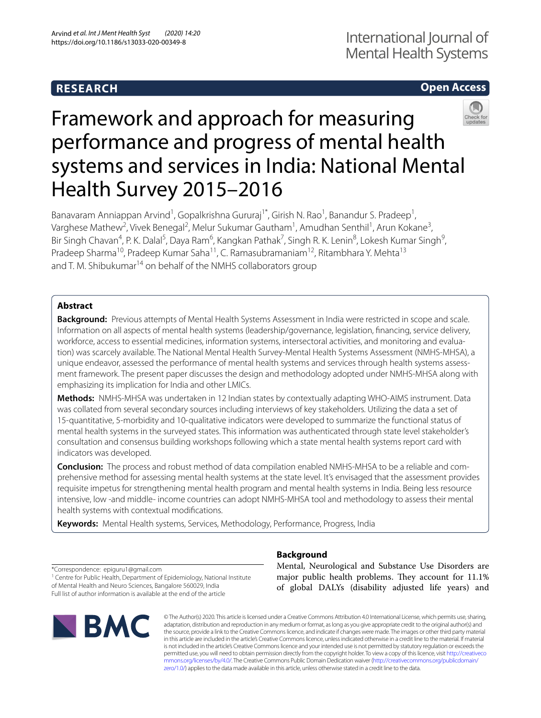## **RESEARCH**

## **Open Access**



# Framework and approach for measuring performance and progress of mental health systems and services in India: National Mental Health Survey 2015–2016

Banavaram Anniappan Arvind<sup>1</sup>, Gopalkrishna Gururaj<sup>1\*</sup>, Girish N. Rao<sup>1</sup>, Banandur S. Pradeep<sup>1</sup>, Varghese Mathew<sup>2</sup>, Vivek Benegal<sup>2</sup>, Melur Sukumar Gautham<sup>1</sup>, Amudhan Senthil<sup>1</sup>, Arun Kokane<sup>3</sup>, Bir Singh Chavan<sup>4</sup>, P. K. Dalal<sup>5</sup>, Daya Ram<sup>6</sup>, Kangkan Pathak<sup>7</sup>, Singh R. K. Lenin<sup>8</sup>, Lokesh Kumar Singh<sup>9</sup>, Pradeep Sharma<sup>10</sup>, Pradeep Kumar Saha<sup>11</sup>, C. Ramasubramaniam<sup>12</sup>, Ritambhara Y. Mehta<sup>13</sup> and T. M. Shibukumar<sup>14</sup> on behalf of the NMHS collaborators group

## **Abstract**

**Background:** Previous attempts of Mental Health Systems Assessment in India were restricted in scope and scale. Information on all aspects of mental health systems (leadership/governance, legislation, fnancing, service delivery, workforce, access to essential medicines, information systems, intersectoral activities, and monitoring and evaluation) was scarcely available. The National Mental Health Survey-Mental Health Systems Assessment (NMHS-MHSA), a unique endeavor, assessed the performance of mental health systems and services through health systems assessment framework. The present paper discusses the design and methodology adopted under NMHS-MHSA along with emphasizing its implication for India and other LMICs.

**Methods:** NMHS-MHSA was undertaken in 12 Indian states by contextually adapting WHO-AIMS instrument. Data was collated from several secondary sources including interviews of key stakeholders. Utilizing the data a set of 15-quantitative, 5-morbidity and 10-qualitative indicators were developed to summarize the functional status of mental health systems in the surveyed states. This information was authenticated through state level stakeholder's consultation and consensus building workshops following which a state mental health systems report card with indicators was developed.

**Conclusion:** The process and robust method of data compilation enabled NMHS-MHSA to be a reliable and comprehensive method for assessing mental health systems at the state level. It's envisaged that the assessment provides requisite impetus for strengthening mental health program and mental health systems in India. Being less resource intensive, low -and middle- income countries can adopt NMHS-MHSA tool and methodology to assess their mental health systems with contextual modifcations.

**Keywords:** Mental Health systems, Services, Methodology, Performance, Progress, India

\*Correspondence: epiguru1@gmail.com

<sup>1</sup> Centre for Public Health, Department of Epidemiology, National Institute of Mental Health and Neuro Sciences, Bangalore 560029, India Full list of author information is available at the end of the article



## **Background**

Mental, Neurological and Substance Use Disorders are major public health problems. They account for 11.1% of global DALYs (disability adjusted life years) and

© The Author(s) 2020. This article is licensed under a Creative Commons Attribution 4.0 International License, which permits use, sharing, adaptation, distribution and reproduction in any medium or format, as long as you give appropriate credit to the original author(s) and the source, provide a link to the Creative Commons licence, and indicate if changes were made. The images or other third party material in this article are included in the article's Creative Commons licence, unless indicated otherwise in a credit line to the material. If material is not included in the article's Creative Commons licence and your intended use is not permitted by statutory regulation or exceeds the permitted use, you will need to obtain permission directly from the copyright holder. To view a copy of this licence, visit [http://creativeco](http://creativecommons.org/licenses/by/4.0/) [mmons.org/licenses/by/4.0/.](http://creativecommons.org/licenses/by/4.0/) The Creative Commons Public Domain Dedication waiver ([http://creativecommons.org/publicdomain/](http://creativecommons.org/publicdomain/zero/1.0/) [zero/1.0/\)](http://creativecommons.org/publicdomain/zero/1.0/) applies to the data made available in this article, unless otherwise stated in a credit line to the data.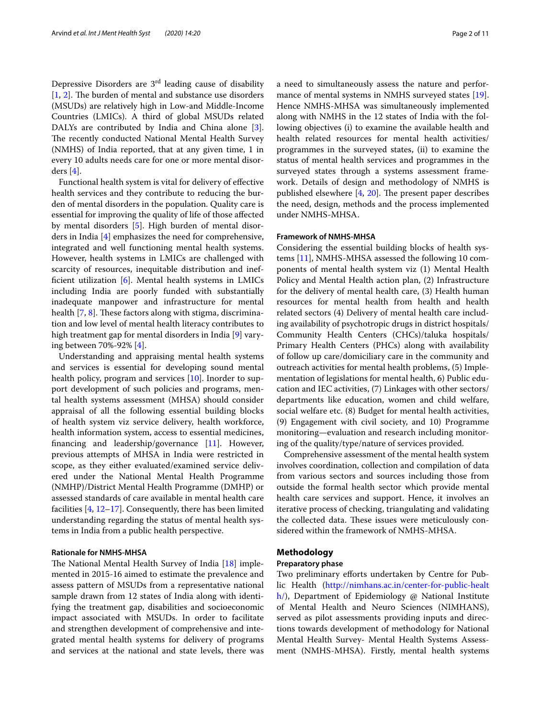Depressive Disorders are 3rd leading cause of disability  $[1, 2]$  $[1, 2]$  $[1, 2]$  $[1, 2]$ . The burden of mental and substance use disorders (MSUDs) are relatively high in Low-and Middle-Income Countries (LMICs). A third of global MSUDs related DALYs are contributed by India and China alone [\[3](#page-9-2)]. The recently conducted National Mental Health Survey (NMHS) of India reported, that at any given time, 1 in every 10 adults needs care for one or more mental disorders [\[4](#page-9-3)].

Functional health system is vital for delivery of efective health services and they contribute to reducing the burden of mental disorders in the population. Quality care is essential for improving the quality of life of those afected by mental disorders [[5\]](#page-9-4). High burden of mental disorders in India [\[4\]](#page-9-3) emphasizes the need for comprehensive, integrated and well functioning mental health systems. However, health systems in LMICs are challenged with scarcity of resources, inequitable distribution and ineffcient utilization [[6\]](#page-10-0). Mental health systems in LMICs including India are poorly funded with substantially inadequate manpower and infrastructure for mental health  $[7, 8]$  $[7, 8]$  $[7, 8]$  $[7, 8]$ . These factors along with stigma, discrimination and low level of mental health literacy contributes to high treatment gap for mental disorders in India [[9\]](#page-10-3) varying between 70%-92% [\[4\]](#page-9-3).

Understanding and appraising mental health systems and services is essential for developing sound mental health policy, program and services [\[10](#page-10-4)]. Inorder to support development of such policies and programs, mental health systems assessment (MHSA) should consider appraisal of all the following essential building blocks of health system viz service delivery, health workforce, health information system, access to essential medicines, fnancing and leadership/governance [\[11\]](#page-10-5). However, previous attempts of MHSA in India were restricted in scope, as they either evaluated/examined service delivered under the National Mental Health Programme (NMHP)/District Mental Health Programme (DMHP) or assessed standards of care available in mental health care facilities  $[4, 12-17]$  $[4, 12-17]$  $[4, 12-17]$  $[4, 12-17]$ . Consequently, there has been limited understanding regarding the status of mental health systems in India from a public health perspective.

#### **Rationale for NMHS‑MHSA**

The National Mental Health Survey of India  $[18]$  $[18]$  $[18]$  implemented in 2015-16 aimed to estimate the prevalence and assess pattern of MSUDs from a representative national sample drawn from 12 states of India along with identifying the treatment gap, disabilities and socioeconomic impact associated with MSUDs. In order to facilitate and strengthen development of comprehensive and integrated mental health systems for delivery of programs and services at the national and state levels, there was a need to simultaneously assess the nature and performance of mental systems in NMHS surveyed states [\[19](#page-10-9)]. Hence NMHS-MHSA was simultaneously implemented along with NMHS in the 12 states of India with the following objectives (i) to examine the available health and health related resources for mental health activities/ programmes in the surveyed states, (ii) to examine the status of mental health services and programmes in the surveyed states through a systems assessment framework. Details of design and methodology of NMHS is published elsewhere  $[4, 20]$  $[4, 20]$  $[4, 20]$  $[4, 20]$ . The present paper describes the need, design, methods and the process implemented under NMHS-MHSA.

#### **Framework of NMHS‑MHSA**

Considering the essential building blocks of health systems [\[11\]](#page-10-5), NMHS-MHSA assessed the following 10 components of mental health system viz (1) Mental Health Policy and Mental Health action plan, (2) Infrastructure for the delivery of mental health care, (3) Health human resources for mental health from health and health related sectors (4) Delivery of mental health care including availability of psychotropic drugs in district hospitals/ Community Health Centers (CHCs)/taluka hospitals/ Primary Health Centers (PHCs) along with availability of follow up care/domiciliary care in the community and outreach activities for mental health problems, (5) Implementation of legislations for mental health, 6) Public education and IEC activities, (7) Linkages with other sectors/ departments like education, women and child welfare, social welfare etc. (8) Budget for mental health activities, (9) Engagement with civil society, and 10) Programme monitoring—evaluation and research including monitoring of the quality/type/nature of services provided.

Comprehensive assessment of the mental health system involves coordination, collection and compilation of data from various sectors and sources including those from outside the formal health sector which provide mental health care services and support. Hence, it involves an iterative process of checking, triangulating and validating the collected data. These issues were meticulously considered within the framework of NMHS-MHSA.

#### **Methodology**

#### **Preparatory phase**

Two preliminary efforts undertaken by Centre for Public Health [\(http://nimhans.ac.in/center-for-public-healt](http://nimhans.ac.in/center-for-public-health/)  $h$ ), Department of Epidemiology @ National Institute of Mental Health and Neuro Sciences (NIMHANS), served as pilot assessments providing inputs and directions towards development of methodology for National Mental Health Survey- Mental Health Systems Assessment (NMHS-MHSA). Firstly, mental health systems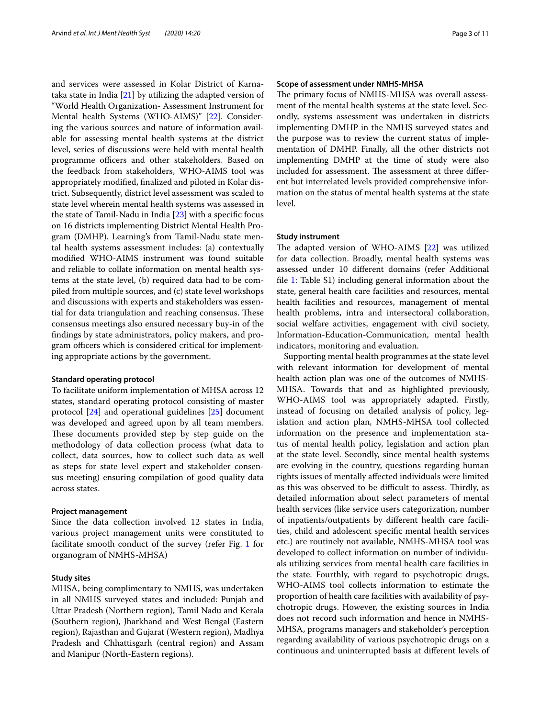and services were assessed in Kolar District of Karnataka state in India  $[21]$  $[21]$  $[21]$  by utilizing the adapted version of "World Health Organization- Assessment Instrument for Mental health Systems (WHO-AIMS)" [\[22\]](#page-10-12). Considering the various sources and nature of information available for assessing mental health systems at the district level, series of discussions were held with mental health programme officers and other stakeholders. Based on the feedback from stakeholders, WHO-AIMS tool was appropriately modifed, fnalized and piloted in Kolar district. Subsequently, district level assessment was scaled to state level wherein mental health systems was assessed in the state of Tamil-Nadu in India [[23\]](#page-10-13) with a specifc focus on 16 districts implementing District Mental Health Program (DMHP). Learning's from Tamil-Nadu state mental health systems assessment includes: (a) contextually modifed WHO-AIMS instrument was found suitable and reliable to collate information on mental health systems at the state level, (b) required data had to be compiled from multiple sources, and (c) state level workshops and discussions with experts and stakeholders was essential for data triangulation and reaching consensus. These consensus meetings also ensured necessary buy-in of the fndings by state administrators, policy makers, and program officers which is considered critical for implementing appropriate actions by the government.

#### **Standard operating protocol**

To facilitate uniform implementation of MHSA across 12 states, standard operating protocol consisting of master protocol [\[24](#page-10-14)] and operational guidelines [\[25](#page-10-15)] document was developed and agreed upon by all team members. These documents provided step by step guide on the methodology of data collection process (what data to collect, data sources, how to collect such data as well as steps for state level expert and stakeholder consensus meeting) ensuring compilation of good quality data across states.

#### **Project management**

Since the data collection involved 12 states in India, various project management units were constituted to facilitate smooth conduct of the survey (refer Fig. [1](#page-3-0) for organogram of NMHS-MHSA)

#### **Study sites**

MHSA, being complimentary to NMHS, was undertaken in all NMHS surveyed states and included: Punjab and Uttar Pradesh (Northern region), Tamil Nadu and Kerala (Southern region), Jharkhand and West Bengal (Eastern region), Rajasthan and Gujarat (Western region), Madhya Pradesh and Chhattisgarh (central region) and Assam and Manipur (North-Eastern regions).

#### **Scope of assessment under NMHS‑MHSA**

The primary focus of NMHS-MHSA was overall assessment of the mental health systems at the state level. Secondly, systems assessment was undertaken in districts implementing DMHP in the NMHS surveyed states and the purpose was to review the current status of implementation of DMHP. Finally, all the other districts not implementing DMHP at the time of study were also included for assessment. The assessment at three different but interrelated levels provided comprehensive information on the status of mental health systems at the state level.

#### **Study instrument**

The adapted version of WHO-AIMS  $[22]$  $[22]$  was utilized for data collection. Broadly, mental health systems was assessed under 10 diferent domains (refer Additional fle [1](#page-9-5): Table S1) including general information about the state, general health care facilities and resources, mental health facilities and resources, management of mental health problems, intra and intersectoral collaboration, social welfare activities, engagement with civil society, Information-Education-Communication, mental health indicators, monitoring and evaluation.

Supporting mental health programmes at the state level with relevant information for development of mental health action plan was one of the outcomes of NMHS-MHSA. Towards that and as highlighted previously, WHO-AIMS tool was appropriately adapted. Firstly, instead of focusing on detailed analysis of policy, legislation and action plan, NMHS-MHSA tool collected information on the presence and implementation status of mental health policy, legislation and action plan at the state level. Secondly, since mental health systems are evolving in the country, questions regarding human rights issues of mentally afected individuals were limited as this was observed to be difficult to assess. Thirdly, as detailed information about select parameters of mental health services (like service users categorization, number of inpatients/outpatients by diferent health care facilities, child and adolescent specifc mental health services etc.) are routinely not available, NMHS-MHSA tool was developed to collect information on number of individuals utilizing services from mental health care facilities in the state. Fourthly, with regard to psychotropic drugs, WHO-AIMS tool collects information to estimate the proportion of health care facilities with availability of psychotropic drugs. However, the existing sources in India does not record such information and hence in NMHS-MHSA, programs managers and stakeholder's perception regarding availability of various psychotropic drugs on a continuous and uninterrupted basis at diferent levels of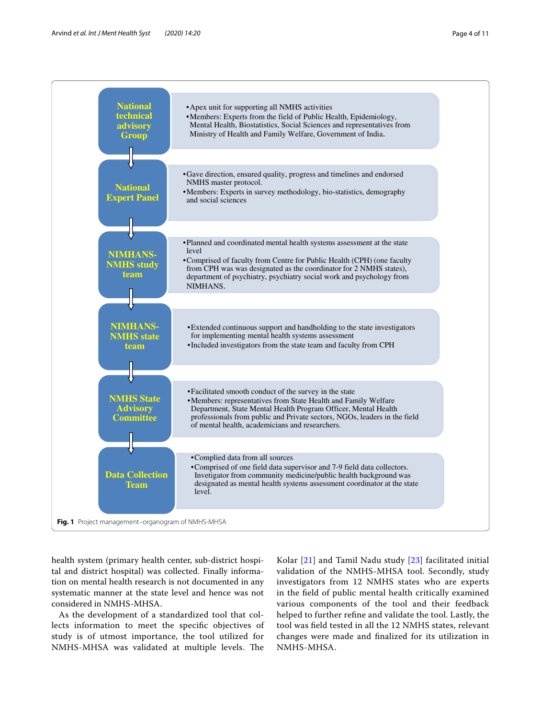

<span id="page-3-0"></span>health system (primary health center, sub-district hospital and district hospital) was collected. Finally information on mental health research is not documented in any systematic manner at the state level and hence was not considered in NMHS-MHSA.

As the development of a standardized tool that collects information to meet the specifc objectives of study is of utmost importance, the tool utilized for NMHS-MHSA was validated at multiple levels. The

Kolar [\[21](#page-10-11)] and Tamil Nadu study [\[23\]](#page-10-13) facilitated initial validation of the NMHS-MHSA tool. Secondly, study investigators from 12 NMHS states who are experts in the feld of public mental health critically examined various components of the tool and their feedback helped to further refne and validate the tool. Lastly, the tool was feld tested in all the 12 NMHS states, relevant changes were made and fnalized for its utilization in NMHS-MHSA.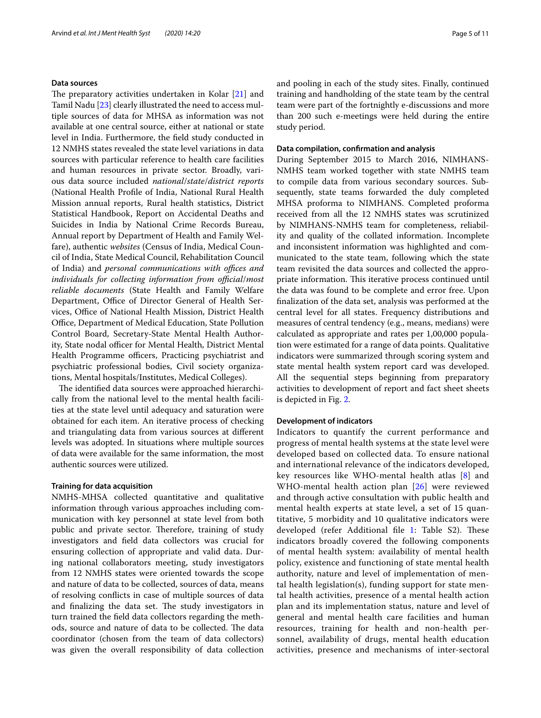#### **Data sources**

The preparatory activities undertaken in Kolar  $[21]$  $[21]$  and Tamil Nadu [[23\]](#page-10-13) clearly illustrated the need to access multiple sources of data for MHSA as information was not available at one central source, either at national or state level in India. Furthermore, the feld study conducted in 12 NMHS states revealed the state level variations in data sources with particular reference to health care facilities and human resources in private sector. Broadly, various data source included *national*/*state*/*district reports* (National Health Profle of India, National Rural Health Mission annual reports, Rural health statistics, District Statistical Handbook, Report on Accidental Deaths and Suicides in India by National Crime Records Bureau, Annual report by Department of Health and Family Welfare), authentic *websites* (Census of India, Medical Council of India, State Medical Council, Rehabilitation Council of India) and *personal communications with offices and individuals for collecting information from official/most reliable documents* (State Health and Family Welfare Department, Office of Director General of Health Services, Office of National Health Mission, District Health Office, Department of Medical Education, State Pollution Control Board, Secretary-State Mental Health Authority, State nodal officer for Mental Health, District Mental Health Programme officers, Practicing psychiatrist and psychiatric professional bodies, Civil society organizations, Mental hospitals/Institutes, Medical Colleges).

The identified data sources were approached hierarchically from the national level to the mental health facilities at the state level until adequacy and saturation were obtained for each item. An iterative process of checking and triangulating data from various sources at diferent levels was adopted. In situations where multiple sources of data were available for the same information, the most authentic sources were utilized.

#### **Training for data acquisition**

NMHS-MHSA collected quantitative and qualitative information through various approaches including communication with key personnel at state level from both public and private sector. Therefore, training of study investigators and feld data collectors was crucial for ensuring collection of appropriate and valid data. During national collaborators meeting, study investigators from 12 NMHS states were oriented towards the scope and nature of data to be collected, sources of data, means of resolving conficts in case of multiple sources of data and finalizing the data set. The study investigators in turn trained the feld data collectors regarding the methods, source and nature of data to be collected. The data coordinator (chosen from the team of data collectors) was given the overall responsibility of data collection and pooling in each of the study sites. Finally, continued training and handholding of the state team by the central team were part of the fortnightly e-discussions and more than 200 such e-meetings were held during the entire study period.

#### **Data compilation, confrmation and analysis**

During September 2015 to March 2016, NIMHANS-NMHS team worked together with state NMHS team to compile data from various secondary sources. Subsequently, state teams forwarded the duly completed MHSA proforma to NIMHANS. Completed proforma received from all the 12 NMHS states was scrutinized by NIMHANS-NMHS team for completeness, reliability and quality of the collated information. Incomplete and inconsistent information was highlighted and communicated to the state team, following which the state team revisited the data sources and collected the appropriate information. This iterative process continued until the data was found to be complete and error free. Upon fnalization of the data set, analysis was performed at the central level for all states. Frequency distributions and measures of central tendency (e.g., means, medians) were calculated as appropriate and rates per 1,00,000 population were estimated for a range of data points. Qualitative indicators were summarized through scoring system and state mental health system report card was developed. All the sequential steps beginning from preparatory activities to development of report and fact sheet sheets is depicted in Fig. [2](#page-5-0).

#### **Development of indicators**

Indicators to quantify the current performance and progress of mental health systems at the state level were developed based on collected data. To ensure national and international relevance of the indicators developed, key resources like WHO-mental health atlas [[8](#page-10-2)] and WHO-mental health action plan [\[26](#page-10-16)] were reviewed and through active consultation with public health and mental health experts at state level, a set of 15 quantitative, 5 morbidity and 10 qualitative indicators were developed (refer Additional file [1](#page-9-5): Table S2). These indicators broadly covered the following components of mental health system: availability of mental health policy, existence and functioning of state mental health authority, nature and level of implementation of mental health legislation(s), funding support for state mental health activities, presence of a mental health action plan and its implementation status, nature and level of general and mental health care facilities and human resources, training for health and non-health personnel, availability of drugs, mental health education activities, presence and mechanisms of inter-sectoral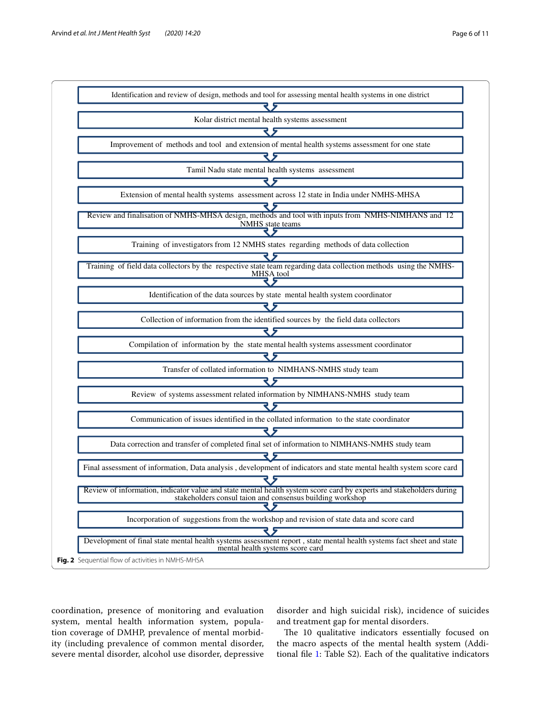

<span id="page-5-0"></span>coordination, presence of monitoring and evaluation system, mental health information system, population coverage of DMHP, prevalence of mental morbidity (including prevalence of common mental disorder, severe mental disorder, alcohol use disorder, depressive

disorder and high suicidal risk), incidence of suicides and treatment gap for mental disorders.

The 10 qualitative indicators essentially focused on the macro aspects of the mental health system (Additional fle [1:](#page-9-5) Table S2). Each of the qualitative indicators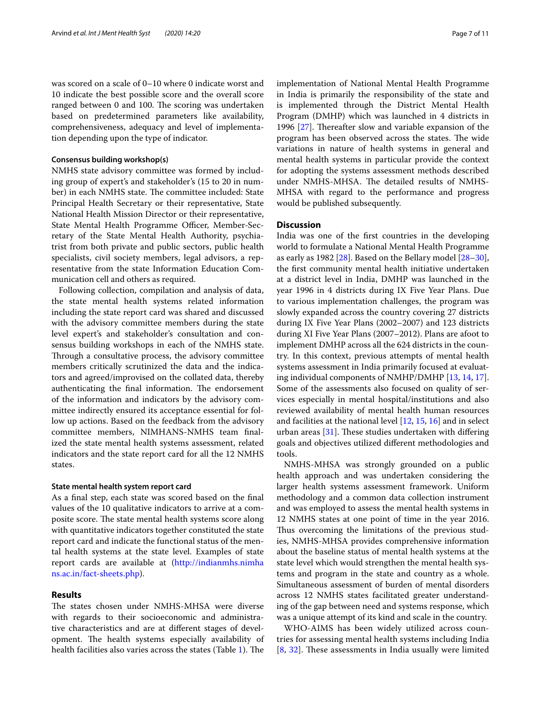was scored on a scale of 0–10 where 0 indicate worst and 10 indicate the best possible score and the overall score ranged between 0 and 100. The scoring was undertaken based on predetermined parameters like availability, comprehensiveness, adequacy and level of implementation depending upon the type of indicator.

#### **Consensus building workshop(s)**

NMHS state advisory committee was formed by including group of expert's and stakeholder's (15 to 20 in number) in each NMHS state. The committee included: State Principal Health Secretary or their representative, State National Health Mission Director or their representative, State Mental Health Programme Officer, Member-Secretary of the State Mental Health Authority, psychiatrist from both private and public sectors, public health specialists, civil society members, legal advisors, a representative from the state Information Education Communication cell and others as required.

Following collection, compilation and analysis of data, the state mental health systems related information including the state report card was shared and discussed with the advisory committee members during the state level expert's and stakeholder's consultation and consensus building workshops in each of the NMHS state. Through a consultative process, the advisory committee members critically scrutinized the data and the indicators and agreed/improvised on the collated data, thereby authenticating the final information. The endorsement of the information and indicators by the advisory committee indirectly ensured its acceptance essential for follow up actions. Based on the feedback from the advisory committee members, NIMHANS-NMHS team fnalized the state mental health systems assessment, related indicators and the state report card for all the 12 NMHS states.

#### **State mental health system report card**

As a fnal step, each state was scored based on the fnal values of the 10 qualitative indicators to arrive at a composite score. The state mental health systems score along with quantitative indicators together constituted the state report card and indicate the functional status of the mental health systems at the state level. Examples of state report cards are available at [\(http://indianmhs.nimha](http://indianmhs.nimhans.ac.in/fact-sheets.php) [ns.ac.in/fact-sheets.php\)](http://indianmhs.nimhans.ac.in/fact-sheets.php).

#### **Results**

The states chosen under NMHS-MHSA were diverse with regards to their socioeconomic and administrative characteristics and are at diferent stages of development. The health systems especially availability of health facilities also varies across the states (Table [1](#page-7-0)). The implementation of National Mental Health Programme in India is primarily the responsibility of the state and is implemented through the District Mental Health Program (DMHP) which was launched in 4 districts in 1996  $[27]$  $[27]$ . Thereafter slow and variable expansion of the program has been observed across the states. The wide variations in nature of health systems in general and mental health systems in particular provide the context for adopting the systems assessment methods described under NMHS-MHSA. The detailed results of NMHS-MHSA with regard to the performance and progress would be published subsequently.

#### **Discussion**

India was one of the frst countries in the developing world to formulate a National Mental Health Programme as early as 1982 [\[28\]](#page-10-18). Based on the Bellary model [[28](#page-10-18)[–30](#page-10-19)], the frst community mental health initiative undertaken at a district level in India, DMHP was launched in the year 1996 in 4 districts during IX Five Year Plans. Due to various implementation challenges, the program was slowly expanded across the country covering 27 districts during IX Five Year Plans (2002–2007) and 123 districts during XI Five Year Plans (2007–2012). Plans are afoot to implement DMHP across all the 624 districts in the country. In this context, previous attempts of mental health systems assessment in India primarily focused at evaluating individual components of NMHP/DMHP [[13](#page-10-20), [14,](#page-10-21) [17](#page-10-7)]. Some of the assessments also focused on quality of services especially in mental hospital/institutions and also reviewed availability of mental health human resources and facilities at the national level [[12](#page-10-6), [15,](#page-10-22) [16](#page-10-23)] and in select urban areas  $[31]$  $[31]$ . These studies undertaken with differing goals and objectives utilized diferent methodologies and tools.

NMHS-MHSA was strongly grounded on a public health approach and was undertaken considering the larger health systems assessment framework. Uniform methodology and a common data collection instrument and was employed to assess the mental health systems in 12 NMHS states at one point of time in the year 2016. Thus overcoming the limitations of the previous studies, NMHS-MHSA provides comprehensive information about the baseline status of mental health systems at the state level which would strengthen the mental health systems and program in the state and country as a whole. Simultaneous assessment of burden of mental disorders across 12 NMHS states facilitated greater understanding of the gap between need and systems response, which was a unique attempt of its kind and scale in the country.

WHO-AIMS has been widely utilized across countries for assessing mental health systems including India  $[8, 32]$  $[8, 32]$  $[8, 32]$  $[8, 32]$  $[8, 32]$ . These assessments in India usually were limited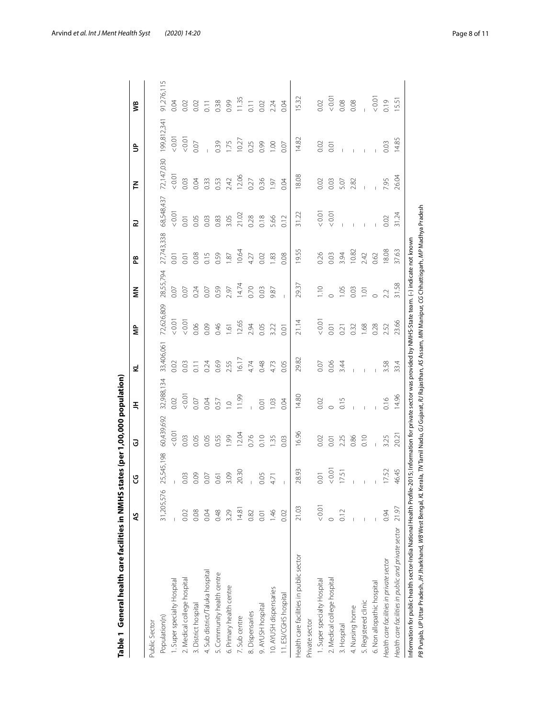| 11.99<br>0.07 <sub>0</sub><br>0.02<br>0.07<br>0.04<br>0.57<br>$\supseteq$<br>60,439,692<br>0.01<br>12.04<br>0.03<br>99<br>0.76<br>0.05<br>0.05<br>0.55<br>25,545,198<br>20.30<br>3.09<br>0.03<br>0.09<br>0.07<br>0.61<br>$\overline{1}$<br>31,205,576<br>14.81<br>3.29<br>0.48<br>0.08<br>0.02<br>0.04<br>0.82<br>4. Sub district/Taluka hospital<br>5. Community health centre<br>2. Medical college hospital<br>I. Super specialty Hospital<br>6. Primary health centre<br>3. District hospital<br>8. Dispensaries<br>Population(n)<br>7. Sub centre<br>Public Sector | 32,988,134 | 33,406,061<br>0.02<br>0.03 | 72,626,809      |                |                  |            |            |             |                  |
|-------------------------------------------------------------------------------------------------------------------------------------------------------------------------------------------------------------------------------------------------------------------------------------------------------------------------------------------------------------------------------------------------------------------------------------------------------------------------------------------------------------------------------------------------------------------------|------------|----------------------------|-----------------|----------------|------------------|------------|------------|-------------|------------------|
|                                                                                                                                                                                                                                                                                                                                                                                                                                                                                                                                                                         |            |                            |                 |                |                  |            |            |             |                  |
|                                                                                                                                                                                                                                                                                                                                                                                                                                                                                                                                                                         |            |                            |                 | 28,55,794      | 27,743,338       | 68,548,437 | 72,147,030 | 199,812,341 | 91,276,115       |
|                                                                                                                                                                                                                                                                                                                                                                                                                                                                                                                                                                         |            |                            | 0.01            | 0.07           | 5.O              | 10.01      | < 0.01     | 0.01        | 0.04             |
|                                                                                                                                                                                                                                                                                                                                                                                                                                                                                                                                                                         |            |                            | < 0.01          | 0.07           | 0.01             | 0.01       | 0.03       | 0.01        | 0.02             |
|                                                                                                                                                                                                                                                                                                                                                                                                                                                                                                                                                                         |            | $\overline{0}$ .           | 0.06            | 0.24           | 0.08             | 0.05       | 0.04       | 0.07        | 0.02             |
|                                                                                                                                                                                                                                                                                                                                                                                                                                                                                                                                                                         |            | 0.24                       | 0.09            | 0.07           | 0.15             | 0.03       | 0.33       |             | $\overline{0}$ . |
|                                                                                                                                                                                                                                                                                                                                                                                                                                                                                                                                                                         |            | 0.69                       | 0.46            | 0.59           | 0.59             | 0.83       | 0.53       | 0.39        | 0.38             |
|                                                                                                                                                                                                                                                                                                                                                                                                                                                                                                                                                                         |            | 2.55                       | $\overline{61}$ | 2.97           | $\overline{.81}$ | 3.05       | 2.42       | 1.75        | 0.99             |
|                                                                                                                                                                                                                                                                                                                                                                                                                                                                                                                                                                         |            | 16.17                      | 12.65           | 14.74          | 10.64            | 21.02      | 12.06      | 10.27       | 1.35             |
|                                                                                                                                                                                                                                                                                                                                                                                                                                                                                                                                                                         |            | 4.74                       | 2.94            | 0.70           | 4.27             | 0.28       | 0.27       | 0.25        | $\overline{0}$ . |
| 0.01<br>0.10<br>0.05<br>0.01<br>9. AYUSH hospital                                                                                                                                                                                                                                                                                                                                                                                                                                                                                                                       |            | 0.48                       | 0.05            | 0.03           | 0.02             | 0.18       | 0.36       | 0.99        | 0.02             |
| 1.03<br>1.35<br>4.71<br>1.46<br>10. AYUSH dispensaries                                                                                                                                                                                                                                                                                                                                                                                                                                                                                                                  |            | 4.73                       | 3.22            | 9.87           | 1.83             | 5.66       | 61         | 0.00        | 2.24             |
| 0.04<br>0.03<br>$\begin{array}{c} \end{array}$<br>0.02<br>1. ESI/CGHS hospital                                                                                                                                                                                                                                                                                                                                                                                                                                                                                          |            | 0.05                       | 0.01            | $\overline{1}$ | 0.08             | 0.12       | 0.04       | 0.07        | 0.04             |
| 14.80<br>16.96<br>28.93<br>21.03<br>Health care facilities in public sector                                                                                                                                                                                                                                                                                                                                                                                                                                                                                             |            | 29.82                      | 21.14           | 29.37          | 19.55            | 31.22      | 18.08      | 14.82       | 5.32             |
| Private sector                                                                                                                                                                                                                                                                                                                                                                                                                                                                                                                                                          |            |                            |                 |                |                  |            |            |             |                  |
| 0.02<br>0.02<br>0.01<br>0.01<br>1. Super specialty Hospital                                                                                                                                                                                                                                                                                                                                                                                                                                                                                                             |            | 0.07                       | < 0.01          | 1.10           | 0.26             | 0.01       | 0.02       | 0.02        | 0.02             |
| 0.01<br>0.01<br>2. Medical college hospital                                                                                                                                                                                                                                                                                                                                                                                                                                                                                                                             |            | 0.06                       | 0.01            |                | 0.03             | 0.01       | 0.03       | 0.01        | 0.01             |
| 0.15<br>2.25<br>17.51<br>0.12<br>3. Hospital                                                                                                                                                                                                                                                                                                                                                                                                                                                                                                                            |            | 3.44                       | 0.21            | 1.05           | 3.94             |            | 5.07       |             | 0.08             |
| 0.86<br>$\overline{1}$<br>4. Nursing home                                                                                                                                                                                                                                                                                                                                                                                                                                                                                                                               |            |                            | 0.32            | 0.03           | 10.82            |            | 2.82       |             | 0.08             |
| 0.10<br>$\mathbf{I}$<br>5. Registered clinic                                                                                                                                                                                                                                                                                                                                                                                                                                                                                                                            |            |                            | 1.68            | $\overline{O}$ | 2.42             |            |            |             |                  |
| 6. Non allopathic hospital                                                                                                                                                                                                                                                                                                                                                                                                                                                                                                                                              |            |                            | 0.28            | $\circ$        | 0.62             |            |            |             | 0.01             |
| 0.16<br>3.25<br>17.52<br>0.94<br>Health care facilities in private sector                                                                                                                                                                                                                                                                                                                                                                                                                                                                                               |            | 3.58                       | 2.52            | 2.2            | 18.08            | 0.02       | 7.95       | 0.03        | 0.19             |
| 20.2<br>46.45<br>21.97<br>Health care facilities in public and private sector                                                                                                                                                                                                                                                                                                                                                                                                                                                                                           | 14.96      | 33.4                       | 23.66           | 31.58          | 37.63            | 31.24      | 26.04      | 14.85       | 15.51            |

<span id="page-7-0"></span>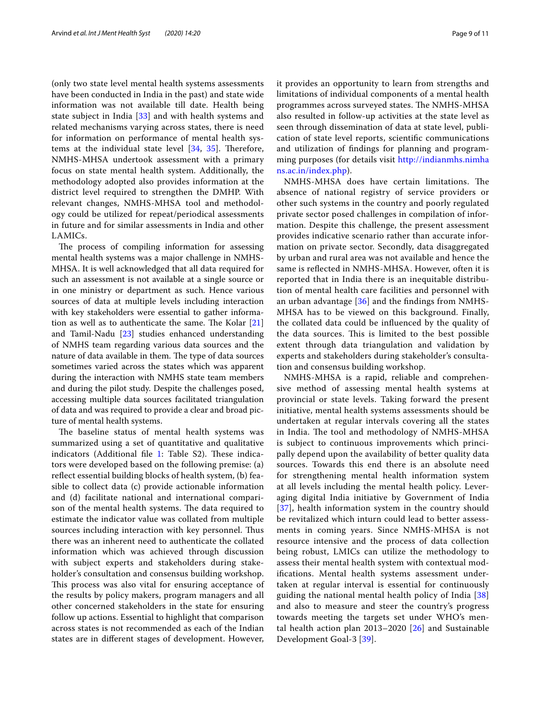(only two state level mental health systems assessments have been conducted in India in the past) and state wide information was not available till date. Health being state subject in India [[33\]](#page-10-26) and with health systems and related mechanisms varying across states, there is need for information on performance of mental health systems at the individual state level  $[34, 35]$  $[34, 35]$  $[34, 35]$  $[34, 35]$ . Therefore, NMHS-MHSA undertook assessment with a primary focus on state mental health system. Additionally, the methodology adopted also provides information at the district level required to strengthen the DMHP. With relevant changes, NMHS-MHSA tool and methodology could be utilized for repeat/periodical assessments in future and for similar assessments in India and other LAMICs.

The process of compiling information for assessing mental health systems was a major challenge in NMHS-MHSA. It is well acknowledged that all data required for such an assessment is not available at a single source or in one ministry or department as such. Hence various sources of data at multiple levels including interaction with key stakeholders were essential to gather information as well as to authenticate the same. The Kolar  $[21]$  $[21]$  $[21]$ and Tamil-Nadu [[23\]](#page-10-13) studies enhanced understanding of NMHS team regarding various data sources and the nature of data available in them. The type of data sources sometimes varied across the states which was apparent during the interaction with NMHS state team members and during the pilot study. Despite the challenges posed, accessing multiple data sources facilitated triangulation of data and was required to provide a clear and broad picture of mental health systems.

The baseline status of mental health systems was summarized using a set of quantitative and qualitative indicators (Additional file [1:](#page-9-5) Table S2). These indicators were developed based on the following premise: (a) refect essential building blocks of health system, (b) feasible to collect data (c) provide actionable information and (d) facilitate national and international comparison of the mental health systems. The data required to estimate the indicator value was collated from multiple sources including interaction with key personnel. Thus there was an inherent need to authenticate the collated information which was achieved through discussion with subject experts and stakeholders during stakeholder's consultation and consensus building workshop. This process was also vital for ensuring acceptance of the results by policy makers, program managers and all other concerned stakeholders in the state for ensuring follow up actions. Essential to highlight that comparison across states is not recommended as each of the Indian states are in diferent stages of development. However, it provides an opportunity to learn from strengths and limitations of individual components of a mental health programmes across surveyed states. The NMHS-MHSA also resulted in follow-up activities at the state level as seen through dissemination of data at state level, publication of state level reports, scientifc communications and utilization of fndings for planning and programming purposes (for details visit [http://indianmhs.nimha](http://indianmhs.nimhans.ac.in/index.php) [ns.ac.in/index.php\)](http://indianmhs.nimhans.ac.in/index.php).

NMHS-MHSA does have certain limitations. The absence of national registry of service providers or other such systems in the country and poorly regulated private sector posed challenges in compilation of information. Despite this challenge, the present assessment provides indicative scenario rather than accurate information on private sector. Secondly, data disaggregated by urban and rural area was not available and hence the same is refected in NMHS-MHSA. However, often it is reported that in India there is an inequitable distribution of mental health care facilities and personnel with an urban advantage [[36](#page-10-29)] and the fndings from NMHS-MHSA has to be viewed on this background. Finally, the collated data could be infuenced by the quality of the data sources. This is limited to the best possible extent through data triangulation and validation by experts and stakeholders during stakeholder's consultation and consensus building workshop.

NMHS-MHSA is a rapid, reliable and comprehensive method of assessing mental health systems at provincial or state levels. Taking forward the present initiative, mental health systems assessments should be undertaken at regular intervals covering all the states in India. The tool and methodology of NMHS-MHSA is subject to continuous improvements which principally depend upon the availability of better quality data sources. Towards this end there is an absolute need for strengthening mental health information system at all levels including the mental health policy. Leveraging digital India initiative by Government of India [[37](#page-10-30)], health information system in the country should be revitalized which inturn could lead to better assessments in coming years. Since NMHS-MHSA is not resource intensive and the process of data collection being robust, LMICs can utilize the methodology to assess their mental health system with contextual modifcations. Mental health systems assessment undertaken at regular interval is essential for continuously guiding the national mental health policy of India [\[38](#page-10-31)] and also to measure and steer the country's progress towards meeting the targets set under WHO's mental health action plan 2013–2020 [\[26](#page-10-16)] and Sustainable Development Goal-3 [[39\]](#page-10-32).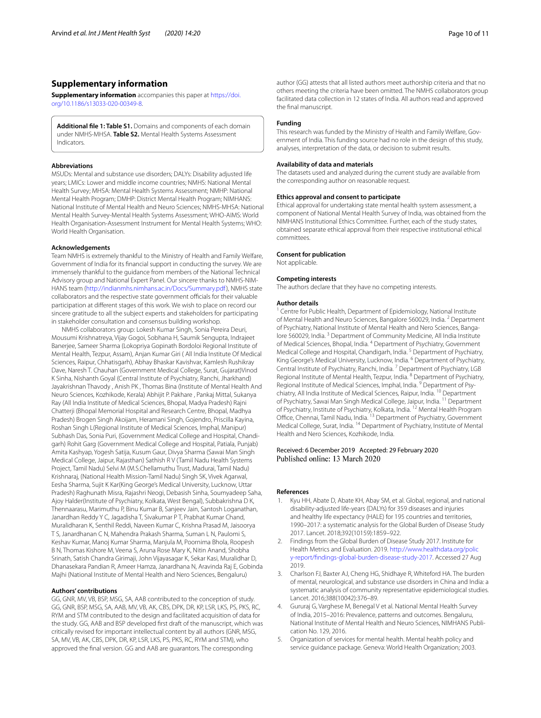#### **Supplementary information**

**Supplementary information** accompanies this paper at [https://doi.](https://doi.org/10.1186/s13033-020-00349-8) [org/10.1186/s13033-020-00349-8](https://doi.org/10.1186/s13033-020-00349-8).

<span id="page-9-5"></span>**Additional fle 1: Table S1.** Domains and components of each domain under NMHS-MHSA. **Table S2.** Mental Health Systems Assessment Indicators.

#### **Abbreviations**

MSUDs: Mental and substance use disorders; DALYs: Disability adjusted life years; LMICs: Lower and middle income countries; NMHS: National Mental Health Survey; MHSA: Mental Health Systems Assessment; NMHP: National Mental Health Program; DMHP: District Mental Health Program; NIMHANS: National Institute of Mental Health and Neuro Sciences; NMHS-MHSA: National Mental Health Survey-Mental Health Systems Assessment; WHO-AIMS: World Health Organisation-Assessment Instrument for Mental Health Systems; WHO: World Health Organisation.

#### **Acknowledgements**

Team NMHS is extremely thankful to the Ministry of Health and Family Welfare, Government of India for its fnancial support in conducting the survey. We are immensely thankful to the guidance from members of the National Technical Advisory group and National Expert Panel. Our sincere thanks to NMHS-NIM-HANS team (<http://indianmhs.nimhans.ac.in/Docs/Summary.pdf>), NMHS state collaborators and the respective state government officials for their valuable participation at diferent stages of this work. We wish to place on record our sincere gratitude to all the subject experts and stakeholders for participating in stakeholder consultation and consensus building workshop.

NMHS collaborators group: Lokesh Kumar Singh, Sonia Pereira Deuri, Mousumi Krishnatreya, Vijay Gogoi, Sobhana H, Saumik Sengupta, Indrajeet Banerjee, Sameer Sharma (Lokopriya Gopinath Bordoloi Regional Institute of Mental Health, Tezpur, Assam), Anjan Kumar Giri ( All India Institute Of Medical Sciences, Raipur, Chhatisgarh), Abhay Bhaskar Kavishvar, Kamlesh Rushikray Dave, Naresh T. Chauhan (Government Medical College, Surat, Gujarat)Vinod K Sinha, Nishanth Goyal (Central Institute of Psychiatry, Ranchi, Jharkhand) Jayakrishnan Thavody , Anish PK , Thomas Bina (Institute of Mental Health And Neuro Sciences, Kozhikode, Kerala) Abhijit P. Pakhare , Pankaj Mittal, Sukanya Ray (All India Institute of Medical Sciences, Bhopal, Madya Pradesh) Rajni Chatterji (Bhopal Memorial Hospital and Research Centre, Bhopal, Madhya Pradesh) Brogen Singh Akoijam, Heramani Singh, Gojendro, Priscilla Kayina, Roshan Singh L(Regional Institute of Medical Sciences, Imphal, Manipur) Subhash Das, Sonia Puri, (Government Medical College and Hospital, Chandigarh) Rohit Garg (Government Medical College and Hospital, Patiala, Punjab) Amita Kashyap, Yogesh Satija, Kusum Gaur, Divya Sharma (Sawai Man Singh Medical College, Jaipur, Rajasthan) Sathish R V (Tamil Nadu Health Systems Project, Tamil Nadu) Selvi M (M.S.Chellamuthu Trust, Madurai, Tamil Nadu) Krishnaraj, (National Health Mission-Tamil Nadu) Singh SK, Vivek Agarwal, Eesha Sharma, Sujit K Kar(King George's Medical University, Lucknow, Uttar Pradesh) Raghunath Misra, Rajashri Neogi, Debasish Sinha, Soumyadeep Saha, Ajoy Halder(Institute of Psychiatry, Kolkata, West Bengal), Subbakrishna D K, Thennaarasu, Marimuthu P, Binu Kumar B, Sanjeev Jain, Santosh Loganathan, Janardhan Reddy Y C, Jagadisha T, Sivakumar P T, Prabhat Kumar Chand, Muralidharan K, Senthil Reddi, Naveen Kumar C, Krishna Prasad M, Jaisoorya T S, Janardhanan C N, Mahendra Prakash Sharma, Suman L N, Paulomi S, Keshav Kumar, Manoj Kumar Sharma, Manjula M, Poornima Bhola, Roopesh B N, Thomas Kishore M, Veena S, Aruna Rose Mary K, Nitin Anand, Shobha Srinath, Satish Chandra Girimaji, John Vijayasagar K, Sekar Kasi, Muralidhar D, Dhanasekara Pandian R, Ameer Hamza, Janardhana N, Aravinda Raj E, Gobinda Majhi (National Institute of Mental Health and Nero Sciences, Bengaluru)

#### **Authors' contributions**

GG, GNR, MV, VB, BSP, MSG, SA, AAB contributed to the conception of study. GG, GNR, BSP, MSG, SA, AAB, MV, VB, AK, CBS, DPK, DR, KP, LSR, LKS, PS, PKS, RC, RYM and STM contributed to the design and facilitated acquisition of data for the study. GG, AAB and BSP developed frst draft of the manuscript, which was critically revised for important intellectual content by all authors (GNR, MSG, SA, MV, VB, AK, CBS, DPK, DR, KP, LSR, LKS, PS, PKS, RC, RYM and STM), who approved the fnal version. GG and AAB are guarantors. The corresponding

author (GG) attests that all listed authors meet authorship criteria and that no others meeting the criteria have been omitted. The NMHS collaborators group facilitated data collection in 12 states of India. All authors read and approved the fnal manuscript.

#### **Funding**

This research was funded by the Ministry of Health and Family Welfare, Government of India. This funding source had no role in the design of this study, analyses, interpretation of the data, or decision to submit results.

#### **Availability of data and materials**

The datasets used and analyzed during the current study are available from the corresponding author on reasonable request.

#### **Ethics approval and consent to participate**

Ethical approval for undertaking state mental health system assessment, a component of National Mental Health Survey of India, was obtained from the NIMHANS Institutional Ethics Committee. Further, each of the study states, obtained separate ethical approval from their respective institutional ethical committees.

#### **Consent for publication**

Not applicable.

#### **Competing interests**

The authors declare that they have no competing interests.

#### **Author details**

<sup>1</sup> Centre for Public Health, Department of Epidemiology, National Institute of Mental Health and Neuro Sciences, Bangalore 560029, India. 2 Department of Psychiatry, National Institute of Mental Health and Nero Sciences, Bangalore 560029, India. 3 Department of Community Medicine, All India Institute of Medical Sciences, Bhopal, India. 4 Department of Psychiatry, Government Medical College and Hospital, Chandigarh, India. 5 Department of Psychiatry, King George's Medical University, Lucknow, India. 6 Department of Psychiatry, Central Institute of Psychiatry, Ranchi, India. 7 Department of Psychiatry, LGB Regional Institute of Mental Health, Tezpur, India. <sup>8</sup> Department of Psychiatry, Regional Institute of Medical Sciences, Imphal, India. 9 Department of Psychiatry, All India Institute of Medical Sciences, Raipur, India. 10 Department of Psychiatry, Sawai Man Singh Medical College, Jaipur, India. 11 Department of Psychiatry, Institute of Psychiatry, Kolkata, India. 12 Mental Health Program Office, Chennai, Tamil Nadu, India. <sup>13</sup> Department of Psychiatry, Government Medical College, Surat, India. <sup>14</sup> Department of Psychiatry, Institute of Mental Health and Nero Sciences, Kozhikode, India.

## Received: 6 December 2019 Accepted: 29 February 2020

#### **References**

- <span id="page-9-0"></span>1. Kyu HH, Abate D, Abate KH, Abay SM, et al. Global, regional, and national disability-adjusted life-years (DALYs) for 359 diseases and injuries and healthy life expectancy (HALE) for 195 countries and territories, 1990–2017: a systematic analysis for the Global Burden of Disease Study 2017. Lancet. 2018;392(10159):1859–922.
- <span id="page-9-1"></span>2. Findings from the Global Burden of Disease Study 2017. Institute for Health Metrics and Evaluation. 2019. [http://www.healthdata.org/polic](http://www.healthdata.org/policy-report/findings-global-burden-disease-study-2017) [y-report/fndings-global-burden-disease-study-2017](http://www.healthdata.org/policy-report/findings-global-burden-disease-study-2017). Accessed 27 Aug 2019.
- <span id="page-9-2"></span>3. Charlson FJ, Baxter AJ, Cheng HG, Shidhaye R, Whiteford HA. The burden of mental, neurological, and substance use disorders in China and India: a systematic analysis of community representative epidemiological studies. Lancet. 2016;388(10042):376–89.
- <span id="page-9-3"></span>4. Gururaj G, Varghese M, Benegal V et al. National Mental Health Survey of India, 2015–2016: Prevalence, patterns and outcomes. Bengaluru, National Institute of Mental Health and Neuro Sciences, NIMHANS Publication No. 129, 2016.
- <span id="page-9-4"></span>5. Organization of services for mental health. Mental health policy and service guidance package. Geneva: World Health Organization; 2003.